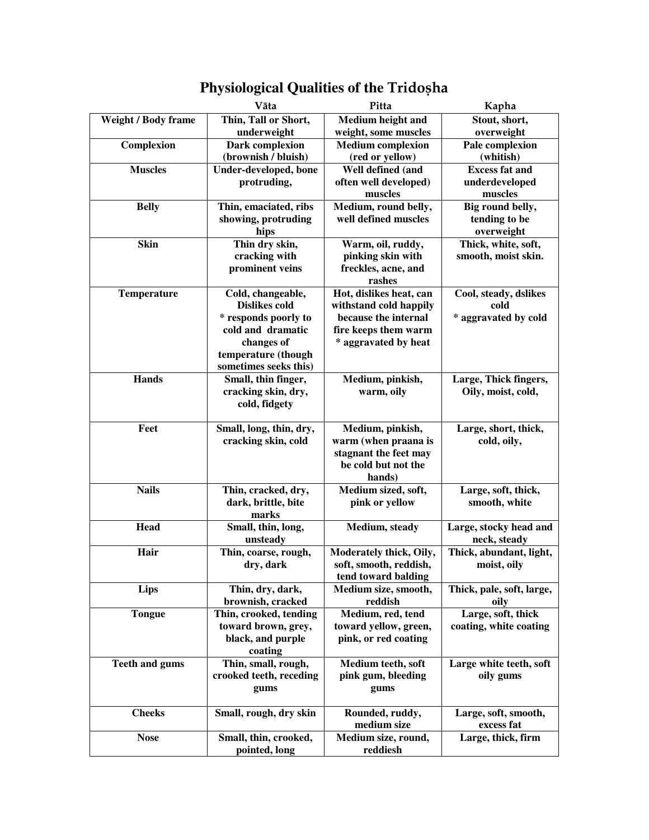|                            | Vāta                    | Pitta                    | Kapha                     |
|----------------------------|-------------------------|--------------------------|---------------------------|
| <b>Weight / Body frame</b> | Thin, Tall or Short,    | Medium height and        | Stout, short,             |
|                            | underweight             | weight, some muscles     | overweight                |
| Complexion                 | Dark complexion         | <b>Medium</b> complexion | Pale complexion           |
|                            | (brownish / bluish)     | (red or yellow)          | (whitish)                 |
| <b>Muscles</b>             | Under-developed, bone   | Well defined (and        | <b>Excess fat and</b>     |
|                            | protruding,             | often well developed)    | underdeveloped            |
|                            |                         | muscles                  | muscles                   |
| <b>Belly</b>               | Thin, emaciated, ribs   | Medium, round belly,     | Big round belly,          |
|                            | showing, protruding     | well defined muscles     | tending to be             |
|                            | hips                    |                          | overweight                |
| <b>Skin</b>                | Thin dry skin,          | Warm, oil, ruddy,        | Thick, white, soft,       |
|                            | cracking with           | pinking skin with        | smooth, moist skin.       |
|                            | prominent veins         | freckles, acne, and      |                           |
|                            |                         | rashes                   |                           |
| <b>Temperature</b>         | Cold, changeable,       | Hot, dislikes heat, can  | Cool, steady, dslikes     |
|                            | <b>Dislikes cold</b>    | withstand cold happily   | cold                      |
|                            | * responds poorly to    | because the internal     | * aggravated by cold      |
|                            | cold and dramatic       | fire keeps them warm     |                           |
|                            | changes of              | * aggravated by heat     |                           |
|                            | temperature (though     |                          |                           |
|                            | sometimes seeks this)   |                          |                           |
| <b>Hands</b>               | Small, thin finger,     | Medium, pinkish,         | Large, Thick fingers,     |
|                            | cracking skin, dry,     | warm, oily               | Oily, moist, cold,        |
|                            | cold, fidgety           |                          |                           |
| Feet                       | Small, long, thin, dry, | Medium, pinkish,         | Large, short, thick,      |
|                            | cracking skin, cold     | warm (when praana is     | cold, oily,               |
|                            |                         | stagnant the feet may    |                           |
|                            |                         | be cold but not the      |                           |
|                            |                         | hands)                   |                           |
| <b>Nails</b>               | Thin, cracked, dry,     | Medium sized, soft,      | Large, soft, thick,       |
|                            | dark, brittle, bite     | pink or yellow           | smooth, white             |
|                            | marks                   |                          |                           |
| Head                       | Small, thin, long,      | Medium, steady           | Large, stocky head and    |
|                            | unsteady                |                          | neck, steady              |
| Hair                       | Thin, coarse, rough,    | Moderately thick, Oily,  | Thick, abundant, light,   |
|                            | dry, dark               | soft, smooth, reddish,   | moist, oily               |
|                            |                         | tend toward balding      |                           |
| <b>Lips</b>                | Thin, dry, dark,        | Medium size, smooth,     | Thick, pale, soft, large, |
|                            | brownish, cracked       | reddish                  | oily                      |
| <b>Tongue</b>              | Thin, crooked, tending  | Medium, red, tend        | Large, soft, thick        |
|                            | toward brown, grey,     | toward yellow, green,    | coating, white coating    |
|                            | black, and purple       | pink, or red coating     |                           |
|                            | coating                 |                          |                           |
| <b>Teeth and gums</b>      | Thin, small, rough,     | Medium teeth, soft       | Large white teeth, soft   |
|                            | crooked teeth, receding | pink gum, bleeding       | oily gums                 |
|                            | gums                    | gums                     |                           |
|                            |                         |                          |                           |
| <b>Cheeks</b>              | Small, rough, dry skin  | Rounded, ruddy,          | Large, soft, smooth,      |
|                            |                         | medium size              | excess fat                |
| <b>Nose</b>                | Small, thin, crooked,   | Medium size, round,      | Large, thick, firm        |
|                            | pointed, long           | reddiesh                 |                           |

## Physiological Qualities of the Tridosha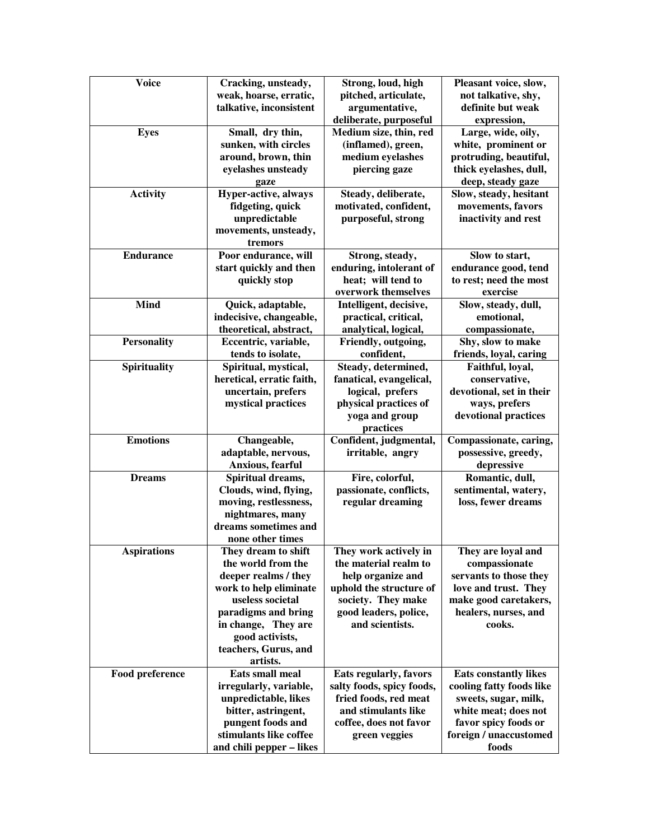| Cracking, unsteady,<br>Strong, loud, high<br>Pleasant voice, slow,<br>pitched, articulate,<br>weak, hoarse, erratic,<br>not talkative, shy,<br>talkative, inconsistent<br>argumentative,<br>definite but weak<br>deliberate, purposeful<br>expression,<br>Medium size, thin, red<br>Small, dry thin,<br>Large, wide, oily,<br><b>Eyes</b><br>sunken, with circles<br>white, prominent or<br>(inflamed), green,<br>medium eyelashes<br>around, brown, thin<br>protruding, beautiful,<br>eyelashes unsteady<br>piercing gaze<br>thick eyelashes, dull,<br>deep, steady gaze<br>gaze<br><b>Activity</b><br>Hyper-active, always<br>Slow, steady, hesitant<br>Steady, deliberate,<br>fidgeting, quick<br>motivated, confident,<br>movements, favors<br>unpredictable<br>purposeful, strong<br>inactivity and rest<br>movements, unsteady,<br>tremors<br>Poor endurance, will<br><b>Endurance</b><br>Strong, steady,<br>Slow to start,<br>start quickly and then<br>enduring, intolerant of<br>endurance good, tend<br>heat; will tend to<br>to rest; need the most<br>quickly stop<br>overwork themselves<br>exercise<br><b>Mind</b><br>Quick, adaptable,<br>Intelligent, decisive,<br>Slow, steady, dull,<br>practical, critical,<br>emotional,<br>indecisive, changeable,<br>theoretical, abstract,<br>analytical, logical,<br>compassionate,<br><b>Personality</b><br>Friendly, outgoing,<br>Shy, slow to make<br>Eccentric, variable,<br>tends to isolate,<br>confident,<br>friends, loyal, caring<br><b>Spirituality</b><br>Steady, determined,<br>Spiritual, mystical,<br>Faithful, loyal,<br>heretical, erratic faith,<br>fanatical, evangelical,<br>conservative,<br>uncertain, prefers<br>logical, prefers<br>devotional, set in their<br>ways, prefers<br>mystical practices<br>physical practices of<br>yoga and group<br>devotional practices<br>practices<br><b>Emotions</b><br>Confident, judgmental,<br>Changeable,<br>Compassionate, caring,<br>possessive, greedy,<br>adaptable, nervous,<br>irritable, angry<br>Anxious, fearful<br>depressive<br>Spiritual dreams,<br>Fire, colorful,<br>Romantic, dull,<br><b>Dreams</b><br>passionate, conflicts,<br>Clouds, wind, flying,<br>sentimental, watery,<br>regular dreaming<br>moving, restlessness,<br>loss, fewer dreams<br>nightmares, many<br>dreams sometimes and<br>none other times<br>They dream to shift<br>They are loyal and<br>They work actively in<br><b>Aspirations</b><br>the world from the<br>the material realm to<br>compassionate<br>deeper realms / they<br>servants to those they<br>help organize and<br>work to help eliminate<br>uphold the structure of<br>love and trust. They<br>useless societal<br>society. They make<br>make good caretakers,<br>healers, nurses, and<br>paradigms and bring<br>good leaders, police,<br>and scientists.<br>in change, They are<br>cooks.<br>good activists,<br>teachers, Gurus, and<br>artists.<br><b>Eats small meal</b><br>Food preference<br>Eats regularly, favors<br><b>Eats constantly likes</b><br>irregularly, variable,<br>salty foods, spicy foods,<br>cooling fatty foods like<br>fried foods, red meat<br>unpredictable, likes<br>sweets, sugar, milk, |              |  |  |
|-------------------------------------------------------------------------------------------------------------------------------------------------------------------------------------------------------------------------------------------------------------------------------------------------------------------------------------------------------------------------------------------------------------------------------------------------------------------------------------------------------------------------------------------------------------------------------------------------------------------------------------------------------------------------------------------------------------------------------------------------------------------------------------------------------------------------------------------------------------------------------------------------------------------------------------------------------------------------------------------------------------------------------------------------------------------------------------------------------------------------------------------------------------------------------------------------------------------------------------------------------------------------------------------------------------------------------------------------------------------------------------------------------------------------------------------------------------------------------------------------------------------------------------------------------------------------------------------------------------------------------------------------------------------------------------------------------------------------------------------------------------------------------------------------------------------------------------------------------------------------------------------------------------------------------------------------------------------------------------------------------------------------------------------------------------------------------------------------------------------------------------------------------------------------------------------------------------------------------------------------------------------------------------------------------------------------------------------------------------------------------------------------------------------------------------------------------------------------------------------------------------------------------------------------------------------------------------------------------------------------------------------------------------------------------------------------------------------------------------------------------------------------------------------------------------------------------------------------------------------------------------------------------------------------------------------------------------------------------------------------------------------------------------------------------------------------------------------------------------------------------------------------------------------------------------------------|--------------|--|--|
|                                                                                                                                                                                                                                                                                                                                                                                                                                                                                                                                                                                                                                                                                                                                                                                                                                                                                                                                                                                                                                                                                                                                                                                                                                                                                                                                                                                                                                                                                                                                                                                                                                                                                                                                                                                                                                                                                                                                                                                                                                                                                                                                                                                                                                                                                                                                                                                                                                                                                                                                                                                                                                                                                                                                                                                                                                                                                                                                                                                                                                                                                                                                                                                                 | <b>Voice</b> |  |  |
|                                                                                                                                                                                                                                                                                                                                                                                                                                                                                                                                                                                                                                                                                                                                                                                                                                                                                                                                                                                                                                                                                                                                                                                                                                                                                                                                                                                                                                                                                                                                                                                                                                                                                                                                                                                                                                                                                                                                                                                                                                                                                                                                                                                                                                                                                                                                                                                                                                                                                                                                                                                                                                                                                                                                                                                                                                                                                                                                                                                                                                                                                                                                                                                                 |              |  |  |
|                                                                                                                                                                                                                                                                                                                                                                                                                                                                                                                                                                                                                                                                                                                                                                                                                                                                                                                                                                                                                                                                                                                                                                                                                                                                                                                                                                                                                                                                                                                                                                                                                                                                                                                                                                                                                                                                                                                                                                                                                                                                                                                                                                                                                                                                                                                                                                                                                                                                                                                                                                                                                                                                                                                                                                                                                                                                                                                                                                                                                                                                                                                                                                                                 |              |  |  |
|                                                                                                                                                                                                                                                                                                                                                                                                                                                                                                                                                                                                                                                                                                                                                                                                                                                                                                                                                                                                                                                                                                                                                                                                                                                                                                                                                                                                                                                                                                                                                                                                                                                                                                                                                                                                                                                                                                                                                                                                                                                                                                                                                                                                                                                                                                                                                                                                                                                                                                                                                                                                                                                                                                                                                                                                                                                                                                                                                                                                                                                                                                                                                                                                 |              |  |  |
|                                                                                                                                                                                                                                                                                                                                                                                                                                                                                                                                                                                                                                                                                                                                                                                                                                                                                                                                                                                                                                                                                                                                                                                                                                                                                                                                                                                                                                                                                                                                                                                                                                                                                                                                                                                                                                                                                                                                                                                                                                                                                                                                                                                                                                                                                                                                                                                                                                                                                                                                                                                                                                                                                                                                                                                                                                                                                                                                                                                                                                                                                                                                                                                                 |              |  |  |
|                                                                                                                                                                                                                                                                                                                                                                                                                                                                                                                                                                                                                                                                                                                                                                                                                                                                                                                                                                                                                                                                                                                                                                                                                                                                                                                                                                                                                                                                                                                                                                                                                                                                                                                                                                                                                                                                                                                                                                                                                                                                                                                                                                                                                                                                                                                                                                                                                                                                                                                                                                                                                                                                                                                                                                                                                                                                                                                                                                                                                                                                                                                                                                                                 |              |  |  |
|                                                                                                                                                                                                                                                                                                                                                                                                                                                                                                                                                                                                                                                                                                                                                                                                                                                                                                                                                                                                                                                                                                                                                                                                                                                                                                                                                                                                                                                                                                                                                                                                                                                                                                                                                                                                                                                                                                                                                                                                                                                                                                                                                                                                                                                                                                                                                                                                                                                                                                                                                                                                                                                                                                                                                                                                                                                                                                                                                                                                                                                                                                                                                                                                 |              |  |  |
|                                                                                                                                                                                                                                                                                                                                                                                                                                                                                                                                                                                                                                                                                                                                                                                                                                                                                                                                                                                                                                                                                                                                                                                                                                                                                                                                                                                                                                                                                                                                                                                                                                                                                                                                                                                                                                                                                                                                                                                                                                                                                                                                                                                                                                                                                                                                                                                                                                                                                                                                                                                                                                                                                                                                                                                                                                                                                                                                                                                                                                                                                                                                                                                                 |              |  |  |
|                                                                                                                                                                                                                                                                                                                                                                                                                                                                                                                                                                                                                                                                                                                                                                                                                                                                                                                                                                                                                                                                                                                                                                                                                                                                                                                                                                                                                                                                                                                                                                                                                                                                                                                                                                                                                                                                                                                                                                                                                                                                                                                                                                                                                                                                                                                                                                                                                                                                                                                                                                                                                                                                                                                                                                                                                                                                                                                                                                                                                                                                                                                                                                                                 |              |  |  |
|                                                                                                                                                                                                                                                                                                                                                                                                                                                                                                                                                                                                                                                                                                                                                                                                                                                                                                                                                                                                                                                                                                                                                                                                                                                                                                                                                                                                                                                                                                                                                                                                                                                                                                                                                                                                                                                                                                                                                                                                                                                                                                                                                                                                                                                                                                                                                                                                                                                                                                                                                                                                                                                                                                                                                                                                                                                                                                                                                                                                                                                                                                                                                                                                 |              |  |  |
|                                                                                                                                                                                                                                                                                                                                                                                                                                                                                                                                                                                                                                                                                                                                                                                                                                                                                                                                                                                                                                                                                                                                                                                                                                                                                                                                                                                                                                                                                                                                                                                                                                                                                                                                                                                                                                                                                                                                                                                                                                                                                                                                                                                                                                                                                                                                                                                                                                                                                                                                                                                                                                                                                                                                                                                                                                                                                                                                                                                                                                                                                                                                                                                                 |              |  |  |
|                                                                                                                                                                                                                                                                                                                                                                                                                                                                                                                                                                                                                                                                                                                                                                                                                                                                                                                                                                                                                                                                                                                                                                                                                                                                                                                                                                                                                                                                                                                                                                                                                                                                                                                                                                                                                                                                                                                                                                                                                                                                                                                                                                                                                                                                                                                                                                                                                                                                                                                                                                                                                                                                                                                                                                                                                                                                                                                                                                                                                                                                                                                                                                                                 |              |  |  |
|                                                                                                                                                                                                                                                                                                                                                                                                                                                                                                                                                                                                                                                                                                                                                                                                                                                                                                                                                                                                                                                                                                                                                                                                                                                                                                                                                                                                                                                                                                                                                                                                                                                                                                                                                                                                                                                                                                                                                                                                                                                                                                                                                                                                                                                                                                                                                                                                                                                                                                                                                                                                                                                                                                                                                                                                                                                                                                                                                                                                                                                                                                                                                                                                 |              |  |  |
|                                                                                                                                                                                                                                                                                                                                                                                                                                                                                                                                                                                                                                                                                                                                                                                                                                                                                                                                                                                                                                                                                                                                                                                                                                                                                                                                                                                                                                                                                                                                                                                                                                                                                                                                                                                                                                                                                                                                                                                                                                                                                                                                                                                                                                                                                                                                                                                                                                                                                                                                                                                                                                                                                                                                                                                                                                                                                                                                                                                                                                                                                                                                                                                                 |              |  |  |
|                                                                                                                                                                                                                                                                                                                                                                                                                                                                                                                                                                                                                                                                                                                                                                                                                                                                                                                                                                                                                                                                                                                                                                                                                                                                                                                                                                                                                                                                                                                                                                                                                                                                                                                                                                                                                                                                                                                                                                                                                                                                                                                                                                                                                                                                                                                                                                                                                                                                                                                                                                                                                                                                                                                                                                                                                                                                                                                                                                                                                                                                                                                                                                                                 |              |  |  |
|                                                                                                                                                                                                                                                                                                                                                                                                                                                                                                                                                                                                                                                                                                                                                                                                                                                                                                                                                                                                                                                                                                                                                                                                                                                                                                                                                                                                                                                                                                                                                                                                                                                                                                                                                                                                                                                                                                                                                                                                                                                                                                                                                                                                                                                                                                                                                                                                                                                                                                                                                                                                                                                                                                                                                                                                                                                                                                                                                                                                                                                                                                                                                                                                 |              |  |  |
|                                                                                                                                                                                                                                                                                                                                                                                                                                                                                                                                                                                                                                                                                                                                                                                                                                                                                                                                                                                                                                                                                                                                                                                                                                                                                                                                                                                                                                                                                                                                                                                                                                                                                                                                                                                                                                                                                                                                                                                                                                                                                                                                                                                                                                                                                                                                                                                                                                                                                                                                                                                                                                                                                                                                                                                                                                                                                                                                                                                                                                                                                                                                                                                                 |              |  |  |
|                                                                                                                                                                                                                                                                                                                                                                                                                                                                                                                                                                                                                                                                                                                                                                                                                                                                                                                                                                                                                                                                                                                                                                                                                                                                                                                                                                                                                                                                                                                                                                                                                                                                                                                                                                                                                                                                                                                                                                                                                                                                                                                                                                                                                                                                                                                                                                                                                                                                                                                                                                                                                                                                                                                                                                                                                                                                                                                                                                                                                                                                                                                                                                                                 |              |  |  |
|                                                                                                                                                                                                                                                                                                                                                                                                                                                                                                                                                                                                                                                                                                                                                                                                                                                                                                                                                                                                                                                                                                                                                                                                                                                                                                                                                                                                                                                                                                                                                                                                                                                                                                                                                                                                                                                                                                                                                                                                                                                                                                                                                                                                                                                                                                                                                                                                                                                                                                                                                                                                                                                                                                                                                                                                                                                                                                                                                                                                                                                                                                                                                                                                 |              |  |  |
|                                                                                                                                                                                                                                                                                                                                                                                                                                                                                                                                                                                                                                                                                                                                                                                                                                                                                                                                                                                                                                                                                                                                                                                                                                                                                                                                                                                                                                                                                                                                                                                                                                                                                                                                                                                                                                                                                                                                                                                                                                                                                                                                                                                                                                                                                                                                                                                                                                                                                                                                                                                                                                                                                                                                                                                                                                                                                                                                                                                                                                                                                                                                                                                                 |              |  |  |
|                                                                                                                                                                                                                                                                                                                                                                                                                                                                                                                                                                                                                                                                                                                                                                                                                                                                                                                                                                                                                                                                                                                                                                                                                                                                                                                                                                                                                                                                                                                                                                                                                                                                                                                                                                                                                                                                                                                                                                                                                                                                                                                                                                                                                                                                                                                                                                                                                                                                                                                                                                                                                                                                                                                                                                                                                                                                                                                                                                                                                                                                                                                                                                                                 |              |  |  |
|                                                                                                                                                                                                                                                                                                                                                                                                                                                                                                                                                                                                                                                                                                                                                                                                                                                                                                                                                                                                                                                                                                                                                                                                                                                                                                                                                                                                                                                                                                                                                                                                                                                                                                                                                                                                                                                                                                                                                                                                                                                                                                                                                                                                                                                                                                                                                                                                                                                                                                                                                                                                                                                                                                                                                                                                                                                                                                                                                                                                                                                                                                                                                                                                 |              |  |  |
|                                                                                                                                                                                                                                                                                                                                                                                                                                                                                                                                                                                                                                                                                                                                                                                                                                                                                                                                                                                                                                                                                                                                                                                                                                                                                                                                                                                                                                                                                                                                                                                                                                                                                                                                                                                                                                                                                                                                                                                                                                                                                                                                                                                                                                                                                                                                                                                                                                                                                                                                                                                                                                                                                                                                                                                                                                                                                                                                                                                                                                                                                                                                                                                                 |              |  |  |
|                                                                                                                                                                                                                                                                                                                                                                                                                                                                                                                                                                                                                                                                                                                                                                                                                                                                                                                                                                                                                                                                                                                                                                                                                                                                                                                                                                                                                                                                                                                                                                                                                                                                                                                                                                                                                                                                                                                                                                                                                                                                                                                                                                                                                                                                                                                                                                                                                                                                                                                                                                                                                                                                                                                                                                                                                                                                                                                                                                                                                                                                                                                                                                                                 |              |  |  |
|                                                                                                                                                                                                                                                                                                                                                                                                                                                                                                                                                                                                                                                                                                                                                                                                                                                                                                                                                                                                                                                                                                                                                                                                                                                                                                                                                                                                                                                                                                                                                                                                                                                                                                                                                                                                                                                                                                                                                                                                                                                                                                                                                                                                                                                                                                                                                                                                                                                                                                                                                                                                                                                                                                                                                                                                                                                                                                                                                                                                                                                                                                                                                                                                 |              |  |  |
|                                                                                                                                                                                                                                                                                                                                                                                                                                                                                                                                                                                                                                                                                                                                                                                                                                                                                                                                                                                                                                                                                                                                                                                                                                                                                                                                                                                                                                                                                                                                                                                                                                                                                                                                                                                                                                                                                                                                                                                                                                                                                                                                                                                                                                                                                                                                                                                                                                                                                                                                                                                                                                                                                                                                                                                                                                                                                                                                                                                                                                                                                                                                                                                                 |              |  |  |
|                                                                                                                                                                                                                                                                                                                                                                                                                                                                                                                                                                                                                                                                                                                                                                                                                                                                                                                                                                                                                                                                                                                                                                                                                                                                                                                                                                                                                                                                                                                                                                                                                                                                                                                                                                                                                                                                                                                                                                                                                                                                                                                                                                                                                                                                                                                                                                                                                                                                                                                                                                                                                                                                                                                                                                                                                                                                                                                                                                                                                                                                                                                                                                                                 |              |  |  |
|                                                                                                                                                                                                                                                                                                                                                                                                                                                                                                                                                                                                                                                                                                                                                                                                                                                                                                                                                                                                                                                                                                                                                                                                                                                                                                                                                                                                                                                                                                                                                                                                                                                                                                                                                                                                                                                                                                                                                                                                                                                                                                                                                                                                                                                                                                                                                                                                                                                                                                                                                                                                                                                                                                                                                                                                                                                                                                                                                                                                                                                                                                                                                                                                 |              |  |  |
|                                                                                                                                                                                                                                                                                                                                                                                                                                                                                                                                                                                                                                                                                                                                                                                                                                                                                                                                                                                                                                                                                                                                                                                                                                                                                                                                                                                                                                                                                                                                                                                                                                                                                                                                                                                                                                                                                                                                                                                                                                                                                                                                                                                                                                                                                                                                                                                                                                                                                                                                                                                                                                                                                                                                                                                                                                                                                                                                                                                                                                                                                                                                                                                                 |              |  |  |
|                                                                                                                                                                                                                                                                                                                                                                                                                                                                                                                                                                                                                                                                                                                                                                                                                                                                                                                                                                                                                                                                                                                                                                                                                                                                                                                                                                                                                                                                                                                                                                                                                                                                                                                                                                                                                                                                                                                                                                                                                                                                                                                                                                                                                                                                                                                                                                                                                                                                                                                                                                                                                                                                                                                                                                                                                                                                                                                                                                                                                                                                                                                                                                                                 |              |  |  |
|                                                                                                                                                                                                                                                                                                                                                                                                                                                                                                                                                                                                                                                                                                                                                                                                                                                                                                                                                                                                                                                                                                                                                                                                                                                                                                                                                                                                                                                                                                                                                                                                                                                                                                                                                                                                                                                                                                                                                                                                                                                                                                                                                                                                                                                                                                                                                                                                                                                                                                                                                                                                                                                                                                                                                                                                                                                                                                                                                                                                                                                                                                                                                                                                 |              |  |  |
|                                                                                                                                                                                                                                                                                                                                                                                                                                                                                                                                                                                                                                                                                                                                                                                                                                                                                                                                                                                                                                                                                                                                                                                                                                                                                                                                                                                                                                                                                                                                                                                                                                                                                                                                                                                                                                                                                                                                                                                                                                                                                                                                                                                                                                                                                                                                                                                                                                                                                                                                                                                                                                                                                                                                                                                                                                                                                                                                                                                                                                                                                                                                                                                                 |              |  |  |
|                                                                                                                                                                                                                                                                                                                                                                                                                                                                                                                                                                                                                                                                                                                                                                                                                                                                                                                                                                                                                                                                                                                                                                                                                                                                                                                                                                                                                                                                                                                                                                                                                                                                                                                                                                                                                                                                                                                                                                                                                                                                                                                                                                                                                                                                                                                                                                                                                                                                                                                                                                                                                                                                                                                                                                                                                                                                                                                                                                                                                                                                                                                                                                                                 |              |  |  |
|                                                                                                                                                                                                                                                                                                                                                                                                                                                                                                                                                                                                                                                                                                                                                                                                                                                                                                                                                                                                                                                                                                                                                                                                                                                                                                                                                                                                                                                                                                                                                                                                                                                                                                                                                                                                                                                                                                                                                                                                                                                                                                                                                                                                                                                                                                                                                                                                                                                                                                                                                                                                                                                                                                                                                                                                                                                                                                                                                                                                                                                                                                                                                                                                 |              |  |  |
|                                                                                                                                                                                                                                                                                                                                                                                                                                                                                                                                                                                                                                                                                                                                                                                                                                                                                                                                                                                                                                                                                                                                                                                                                                                                                                                                                                                                                                                                                                                                                                                                                                                                                                                                                                                                                                                                                                                                                                                                                                                                                                                                                                                                                                                                                                                                                                                                                                                                                                                                                                                                                                                                                                                                                                                                                                                                                                                                                                                                                                                                                                                                                                                                 |              |  |  |
|                                                                                                                                                                                                                                                                                                                                                                                                                                                                                                                                                                                                                                                                                                                                                                                                                                                                                                                                                                                                                                                                                                                                                                                                                                                                                                                                                                                                                                                                                                                                                                                                                                                                                                                                                                                                                                                                                                                                                                                                                                                                                                                                                                                                                                                                                                                                                                                                                                                                                                                                                                                                                                                                                                                                                                                                                                                                                                                                                                                                                                                                                                                                                                                                 |              |  |  |
|                                                                                                                                                                                                                                                                                                                                                                                                                                                                                                                                                                                                                                                                                                                                                                                                                                                                                                                                                                                                                                                                                                                                                                                                                                                                                                                                                                                                                                                                                                                                                                                                                                                                                                                                                                                                                                                                                                                                                                                                                                                                                                                                                                                                                                                                                                                                                                                                                                                                                                                                                                                                                                                                                                                                                                                                                                                                                                                                                                                                                                                                                                                                                                                                 |              |  |  |
|                                                                                                                                                                                                                                                                                                                                                                                                                                                                                                                                                                                                                                                                                                                                                                                                                                                                                                                                                                                                                                                                                                                                                                                                                                                                                                                                                                                                                                                                                                                                                                                                                                                                                                                                                                                                                                                                                                                                                                                                                                                                                                                                                                                                                                                                                                                                                                                                                                                                                                                                                                                                                                                                                                                                                                                                                                                                                                                                                                                                                                                                                                                                                                                                 |              |  |  |
|                                                                                                                                                                                                                                                                                                                                                                                                                                                                                                                                                                                                                                                                                                                                                                                                                                                                                                                                                                                                                                                                                                                                                                                                                                                                                                                                                                                                                                                                                                                                                                                                                                                                                                                                                                                                                                                                                                                                                                                                                                                                                                                                                                                                                                                                                                                                                                                                                                                                                                                                                                                                                                                                                                                                                                                                                                                                                                                                                                                                                                                                                                                                                                                                 |              |  |  |
|                                                                                                                                                                                                                                                                                                                                                                                                                                                                                                                                                                                                                                                                                                                                                                                                                                                                                                                                                                                                                                                                                                                                                                                                                                                                                                                                                                                                                                                                                                                                                                                                                                                                                                                                                                                                                                                                                                                                                                                                                                                                                                                                                                                                                                                                                                                                                                                                                                                                                                                                                                                                                                                                                                                                                                                                                                                                                                                                                                                                                                                                                                                                                                                                 |              |  |  |
|                                                                                                                                                                                                                                                                                                                                                                                                                                                                                                                                                                                                                                                                                                                                                                                                                                                                                                                                                                                                                                                                                                                                                                                                                                                                                                                                                                                                                                                                                                                                                                                                                                                                                                                                                                                                                                                                                                                                                                                                                                                                                                                                                                                                                                                                                                                                                                                                                                                                                                                                                                                                                                                                                                                                                                                                                                                                                                                                                                                                                                                                                                                                                                                                 |              |  |  |
|                                                                                                                                                                                                                                                                                                                                                                                                                                                                                                                                                                                                                                                                                                                                                                                                                                                                                                                                                                                                                                                                                                                                                                                                                                                                                                                                                                                                                                                                                                                                                                                                                                                                                                                                                                                                                                                                                                                                                                                                                                                                                                                                                                                                                                                                                                                                                                                                                                                                                                                                                                                                                                                                                                                                                                                                                                                                                                                                                                                                                                                                                                                                                                                                 |              |  |  |
|                                                                                                                                                                                                                                                                                                                                                                                                                                                                                                                                                                                                                                                                                                                                                                                                                                                                                                                                                                                                                                                                                                                                                                                                                                                                                                                                                                                                                                                                                                                                                                                                                                                                                                                                                                                                                                                                                                                                                                                                                                                                                                                                                                                                                                                                                                                                                                                                                                                                                                                                                                                                                                                                                                                                                                                                                                                                                                                                                                                                                                                                                                                                                                                                 |              |  |  |
|                                                                                                                                                                                                                                                                                                                                                                                                                                                                                                                                                                                                                                                                                                                                                                                                                                                                                                                                                                                                                                                                                                                                                                                                                                                                                                                                                                                                                                                                                                                                                                                                                                                                                                                                                                                                                                                                                                                                                                                                                                                                                                                                                                                                                                                                                                                                                                                                                                                                                                                                                                                                                                                                                                                                                                                                                                                                                                                                                                                                                                                                                                                                                                                                 |              |  |  |
|                                                                                                                                                                                                                                                                                                                                                                                                                                                                                                                                                                                                                                                                                                                                                                                                                                                                                                                                                                                                                                                                                                                                                                                                                                                                                                                                                                                                                                                                                                                                                                                                                                                                                                                                                                                                                                                                                                                                                                                                                                                                                                                                                                                                                                                                                                                                                                                                                                                                                                                                                                                                                                                                                                                                                                                                                                                                                                                                                                                                                                                                                                                                                                                                 |              |  |  |
|                                                                                                                                                                                                                                                                                                                                                                                                                                                                                                                                                                                                                                                                                                                                                                                                                                                                                                                                                                                                                                                                                                                                                                                                                                                                                                                                                                                                                                                                                                                                                                                                                                                                                                                                                                                                                                                                                                                                                                                                                                                                                                                                                                                                                                                                                                                                                                                                                                                                                                                                                                                                                                                                                                                                                                                                                                                                                                                                                                                                                                                                                                                                                                                                 |              |  |  |
|                                                                                                                                                                                                                                                                                                                                                                                                                                                                                                                                                                                                                                                                                                                                                                                                                                                                                                                                                                                                                                                                                                                                                                                                                                                                                                                                                                                                                                                                                                                                                                                                                                                                                                                                                                                                                                                                                                                                                                                                                                                                                                                                                                                                                                                                                                                                                                                                                                                                                                                                                                                                                                                                                                                                                                                                                                                                                                                                                                                                                                                                                                                                                                                                 |              |  |  |
|                                                                                                                                                                                                                                                                                                                                                                                                                                                                                                                                                                                                                                                                                                                                                                                                                                                                                                                                                                                                                                                                                                                                                                                                                                                                                                                                                                                                                                                                                                                                                                                                                                                                                                                                                                                                                                                                                                                                                                                                                                                                                                                                                                                                                                                                                                                                                                                                                                                                                                                                                                                                                                                                                                                                                                                                                                                                                                                                                                                                                                                                                                                                                                                                 |              |  |  |
|                                                                                                                                                                                                                                                                                                                                                                                                                                                                                                                                                                                                                                                                                                                                                                                                                                                                                                                                                                                                                                                                                                                                                                                                                                                                                                                                                                                                                                                                                                                                                                                                                                                                                                                                                                                                                                                                                                                                                                                                                                                                                                                                                                                                                                                                                                                                                                                                                                                                                                                                                                                                                                                                                                                                                                                                                                                                                                                                                                                                                                                                                                                                                                                                 |              |  |  |
|                                                                                                                                                                                                                                                                                                                                                                                                                                                                                                                                                                                                                                                                                                                                                                                                                                                                                                                                                                                                                                                                                                                                                                                                                                                                                                                                                                                                                                                                                                                                                                                                                                                                                                                                                                                                                                                                                                                                                                                                                                                                                                                                                                                                                                                                                                                                                                                                                                                                                                                                                                                                                                                                                                                                                                                                                                                                                                                                                                                                                                                                                                                                                                                                 |              |  |  |
|                                                                                                                                                                                                                                                                                                                                                                                                                                                                                                                                                                                                                                                                                                                                                                                                                                                                                                                                                                                                                                                                                                                                                                                                                                                                                                                                                                                                                                                                                                                                                                                                                                                                                                                                                                                                                                                                                                                                                                                                                                                                                                                                                                                                                                                                                                                                                                                                                                                                                                                                                                                                                                                                                                                                                                                                                                                                                                                                                                                                                                                                                                                                                                                                 |              |  |  |
| and stimulants like<br>white meat; does not<br>bitter, astringent,                                                                                                                                                                                                                                                                                                                                                                                                                                                                                                                                                                                                                                                                                                                                                                                                                                                                                                                                                                                                                                                                                                                                                                                                                                                                                                                                                                                                                                                                                                                                                                                                                                                                                                                                                                                                                                                                                                                                                                                                                                                                                                                                                                                                                                                                                                                                                                                                                                                                                                                                                                                                                                                                                                                                                                                                                                                                                                                                                                                                                                                                                                                              |              |  |  |
| pungent foods and<br>coffee, does not favor<br>favor spicy foods or                                                                                                                                                                                                                                                                                                                                                                                                                                                                                                                                                                                                                                                                                                                                                                                                                                                                                                                                                                                                                                                                                                                                                                                                                                                                                                                                                                                                                                                                                                                                                                                                                                                                                                                                                                                                                                                                                                                                                                                                                                                                                                                                                                                                                                                                                                                                                                                                                                                                                                                                                                                                                                                                                                                                                                                                                                                                                                                                                                                                                                                                                                                             |              |  |  |
| stimulants like coffee<br>green veggies<br>foreign / unaccustomed                                                                                                                                                                                                                                                                                                                                                                                                                                                                                                                                                                                                                                                                                                                                                                                                                                                                                                                                                                                                                                                                                                                                                                                                                                                                                                                                                                                                                                                                                                                                                                                                                                                                                                                                                                                                                                                                                                                                                                                                                                                                                                                                                                                                                                                                                                                                                                                                                                                                                                                                                                                                                                                                                                                                                                                                                                                                                                                                                                                                                                                                                                                               |              |  |  |
| and chili pepper – likes<br>foods                                                                                                                                                                                                                                                                                                                                                                                                                                                                                                                                                                                                                                                                                                                                                                                                                                                                                                                                                                                                                                                                                                                                                                                                                                                                                                                                                                                                                                                                                                                                                                                                                                                                                                                                                                                                                                                                                                                                                                                                                                                                                                                                                                                                                                                                                                                                                                                                                                                                                                                                                                                                                                                                                                                                                                                                                                                                                                                                                                                                                                                                                                                                                               |              |  |  |